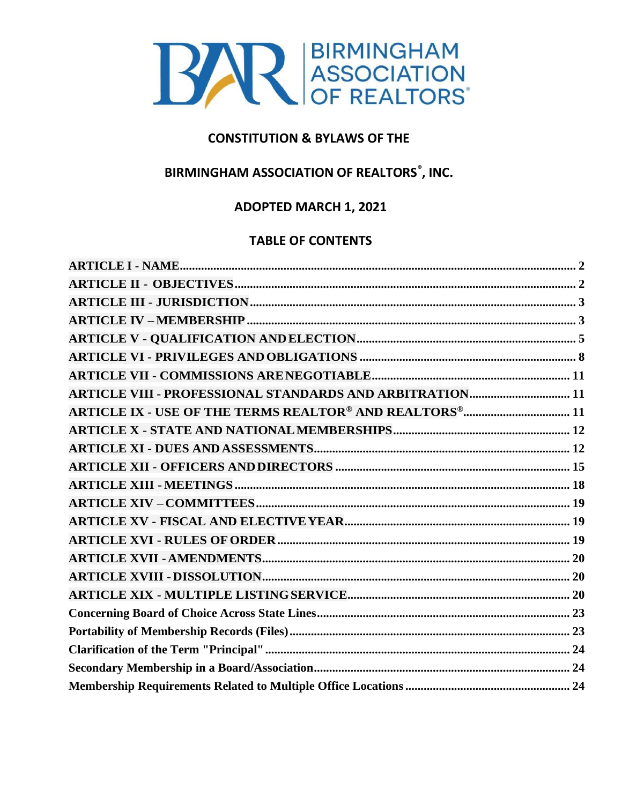

# **CONSTITUTION & BYLAWS OF THE**

# **BIRMINGHAM ASSOCIATION OF REALTORS<sup>®</sup>, INC.**

# **ADOPTED MARCH 1, 2021**

# **TABLE OF CONTENTS**

| <b>ARTICLE VIII - PROFESSIONAL STANDARDS AND ARBITRATION 11</b> |  |
|-----------------------------------------------------------------|--|
|                                                                 |  |
|                                                                 |  |
|                                                                 |  |
|                                                                 |  |
|                                                                 |  |
|                                                                 |  |
|                                                                 |  |
|                                                                 |  |
|                                                                 |  |
|                                                                 |  |
|                                                                 |  |
|                                                                 |  |
|                                                                 |  |
|                                                                 |  |
|                                                                 |  |
|                                                                 |  |
|                                                                 |  |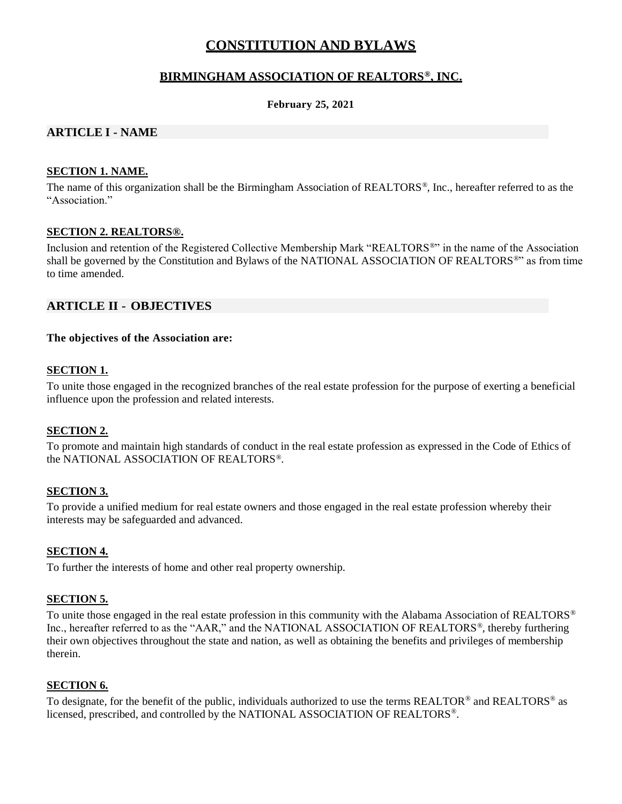# **CONSTITUTION AND BYLAWS**

## **BIRMINGHAM ASSOCIATION OF REALTORS®, INC.**

#### **February 25, 2021**

### <span id="page-1-0"></span>**ARTICLE I - NAME**

#### **SECTION 1. NAME.**

The name of this organization shall be the Birmingham Association of REALTORS®, Inc., hereafter referred to as the "Association."

#### **SECTION 2. REALTORS®.**

Inclusion and retention of the Registered Collective Membership Mark "REALTORS®" in the name of the Association shall be governed by the Constitution and Bylaws of the NATIONAL ASSOCIATION OF REALTORS®" as from time to time amended.

#### <span id="page-1-1"></span>**ARTICLE II - OBJECTIVES**

#### **The objectives of the Association are:**

#### **SECTION 1.**

To unite those engaged in the recognized branches of the real estate profession for the purpose of exerting a beneficial influence upon the profession and related interests.

#### **SECTION 2.**

To promote and maintain high standards of conduct in the real estate profession as expressed in the Code of Ethics of the NATIONAL ASSOCIATION OF REALTORS®.

### **SECTION 3.**

To provide a unified medium for real estate owners and those engaged in the real estate profession whereby their interests may be safeguarded and advanced.

#### **SECTION 4.**

To further the interests of home and other real property ownership.

#### **SECTION 5.**

To unite those engaged in the real estate profession in this community with the Alabama Association of REALTORS<sup>®</sup> Inc., hereafter referred to as the "AAR," and the NATIONAL ASSOCIATION OF REALTORS®, thereby furthering their own objectives throughout the state and nation, as well as obtaining the benefits and privileges of membership therein.

#### **SECTION 6.**

<span id="page-1-2"></span>To designate, for the benefit of the public, individuals authorized to use the terms REALTOR® and REALTORS® as licensed, prescribed, and controlled by the NATIONAL ASSOCIATION OF REALTORS® .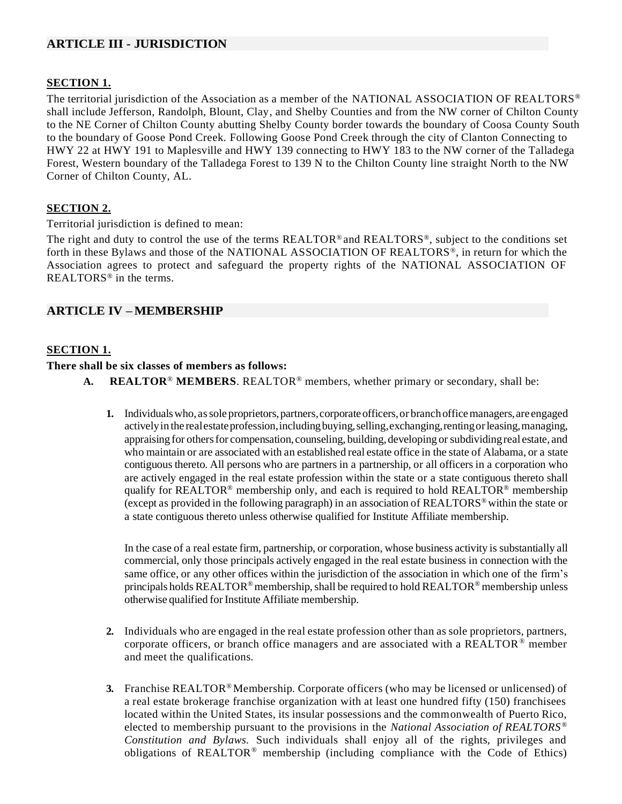## **ARTICLE III - JURISDICTION**

### **SECTION 1.**

The territorial jurisdiction of the Association as a member of the NATIONAL ASSOCIATION OF REALTORS<sup>®</sup> shall include Jefferson, Randolph, Blount, Clay, and Shelby Counties and from the NW corner of Chilton County to the NE Corner of Chilton County abutting Shelby County border towards the boundary of Coosa County South to the boundary of Goose Pond Creek. Following Goose Pond Creek through the city of Clanton Connecting to HWY 22 at HWY 191 to Maplesville and HWY 139 connecting to HWY 183 to the NW corner of the Talladega Forest, Western boundary of the Talladega Forest to 139 N to the Chilton County line straight North to the NW Corner of Chilton County, AL.

#### **SECTION 2.**

Territorial jurisdiction is defined to mean:

The right and duty to control the use of the terms REALTOR® and REALTORS®, subject to the conditions set forth in these Bylaws and those of the NATIONAL ASSOCIATION OF REALTORS®, in return for which the Association agrees to protect and safeguard the property rights of the NATIONAL ASSOCIATION OF REALTORS® in the terms.

## <span id="page-2-0"></span>**ARTICLE IV –MEMBERSHIP**

#### **SECTION 1.**

**There shall be six classes of members as follows:**

- **A. REALTOR**® **MEMBERS**. REALTOR® members, whether primary or secondary, shall be:
	- **1.** Individuals who, as sole proprietors, partners, corporate officers, or branch office managers, are engaged actively in the real estate profession, including buying, selling, exchanging, renting or leasing, managing, appraising for others for compensation, counseling, building, developing or subdividing real estate, and who maintain or are associated with an established real estate office in the state of Alabama, or a state contiguous thereto. All persons who are partners in a partnership, or all officers in a corporation who are actively engaged in the real estate profession within the state or a state contiguous thereto shall qualify for REALTOR<sup>®</sup> membership only, and each is required to hold REALTOR<sup>®</sup> membership (except as provided in the following paragraph) in an association of REALTORS® within the state or a state contiguous thereto unless otherwise qualified for Institute Affiliate membership.

In the case of a real estate firm, partnership, or corporation, whose business activity is substantially all commercial, only those principals actively engaged in the real estate business in connection with the same office, or any other offices within the jurisdiction of the association in which one of the firm's principals holds REALTOR<sup>®</sup> membership, shall be required to hold REALTOR<sup>®</sup> membership unless otherwise qualified for Institute Affiliate membership.

- **2.** Individuals who are engaged in the real estate profession other than as sole proprietors, partners, corporate officers, or branch office managers and are associated with a REALTOR $^{\circ}$  member and meet the qualifications.
- **3.** Franchise REALTOR<sup>®</sup>Membership. Corporate officers (who may be licensed or unlicensed) of a real estate brokerage franchise organization with at least one hundred fifty (150) franchisees located within the United States, its insular possessions and the commonwealth of Puerto Rico, elected to membership pursuant to the provisions in the *National Association of REALTORS® Constitution and Bylaws.* Such individuals shall enjoy all of the rights, privileges and obligations of REALTOR® membership (including compliance with the Code of Ethics)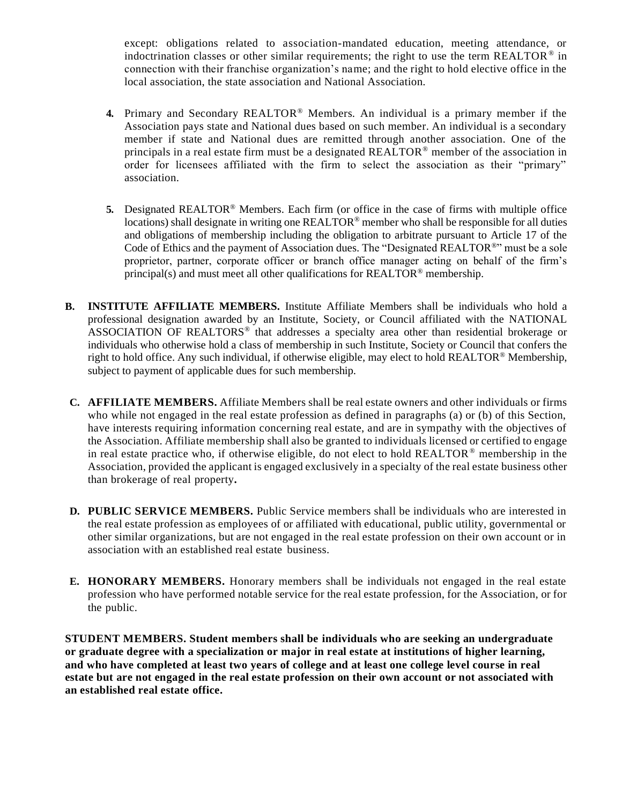except: obligations related to association-mandated education, meeting attendance, or indoctrination classes or other similar requirements; the right to use the term REALTOR<sup>®</sup> in connection with their franchise organization's name; and the right to hold elective office in the local association, the state association and National Association.

- **4.** Primary and Secondary REALTOR® Members. An individual is a primary member if the Association pays state and National dues based on such member. An individual is a secondary member if state and National dues are remitted through another association. One of the principals in a real estate firm must be a designated REALTOR® member of the association in order for licensees affiliated with the firm to select the association as their "primary" association.
- **5.** Designated REALTOR® Members. Each firm (or office in the case of firms with multiple office locations) shall designate in writing one REALTOR® member who shall be responsible for all duties and obligations of membership including the obligation to arbitrate pursuant to Article 17 of the Code of Ethics and the payment of Association dues. The "Designated REALTOR®" must be a sole proprietor, partner, corporate officer or branch office manager acting on behalf of the firm's principal(s) and must meet all other qualifications for REALTOR<sup>®</sup> membership.
- **B. INSTITUTE AFFILIATE MEMBERS.** Institute Affiliate Members shall be individuals who hold a professional designation awarded by an Institute, Society, or Council affiliated with the NATIONAL ASSOCIATION OF REALTORS<sup>®</sup> that addresses a specialty area other than residential brokerage or individuals who otherwise hold a class of membership in such Institute, Society or Council that confers the right to hold office. Any such individual, if otherwise eligible, may elect to hold REALTOR® Membership, subject to payment of applicable dues for such membership.
- **C. AFFILIATE MEMBERS.** Affiliate Members shall be real estate owners and other individuals or firms who while not engaged in the real estate profession as defined in paragraphs (a) or (b) of this Section, have interests requiring information concerning real estate, and are in sympathy with the objectives of the Association. Affiliate membership shall also be granted to individuals licensed or certified to engage in real estate practice who, if otherwise eligible, do not elect to hold REALTOR<sup>®</sup> membership in the Association, provided the applicant is engaged exclusively in a specialty of the real estate business other than brokerage of real property**.**
- **D. PUBLIC SERVICE MEMBERS.** Public Service members shall be individuals who are interested in the real estate profession as employees of or affiliated with educational, public utility, governmental or other similar organizations, but are not engaged in the real estate profession on their own account or in association with an established real estate business.
- **E. HONORARY MEMBERS.** Honorary members shall be individuals not engaged in the real estate profession who have performed notable service for the real estate profession, for the Association, or for the public.

**STUDENT MEMBERS. Student members shall be individuals who are seeking an undergraduate or graduate degree with a specialization or major in real estate at institutions of higher learning, and who have completed at least two years of college and at least one college level course in real estate but are not engaged in the real estate profession on their own account or not associated with an established real estate office.**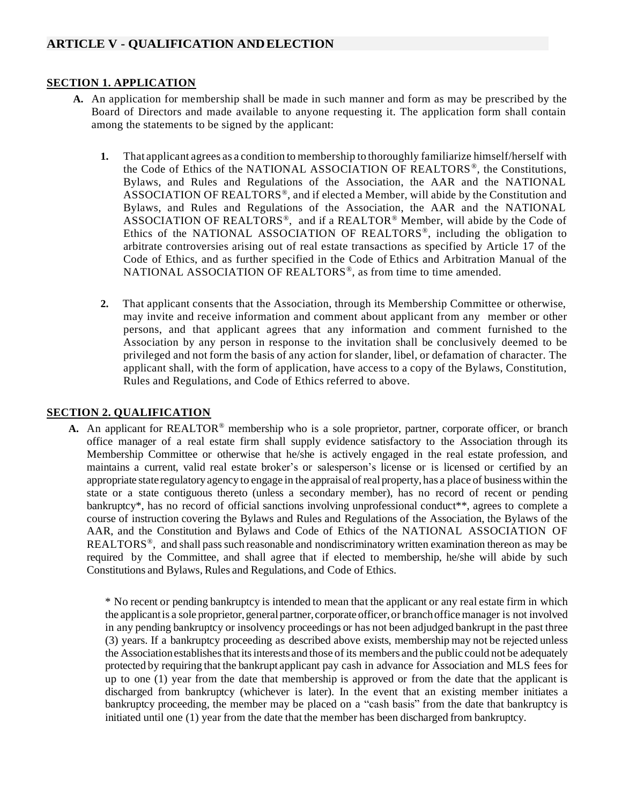### <span id="page-4-0"></span>**SECTION 1. APPLICATION**

- **A.** An application for membership shall be made in such manner and form as may be prescribed by the Board of Directors and made available to anyone requesting it. The application form shall contain among the statements to be signed by the applicant:
	- **1.** That applicant agrees as a condition to membership to thoroughly familiarize himself/herself with the Code of Ethics of the NATIONAL ASSOCIATION OF REALTORS ® , the Constitutions, Bylaws, and Rules and Regulations of the Association, the AAR and the NATIONAL ASSOCIATION OF REALTORS<sup>®</sup>, and if elected a Member, will abide by the Constitution and Bylaws, and Rules and Regulations of the Association, the AAR and the NATIONAL ASSOCIATION OF REALTORS<sup>®</sup>, and if a REALTOR<sup>®</sup> Member, will abide by the Code of Ethics of the NATIONAL ASSOCIATION OF REALTORS<sup>®</sup>, including the obligation to arbitrate controversies arising out of real estate transactions as specified by Article 17 of the Code of Ethics, and as further specified in the Code of Ethics and Arbitration Manual of the NATIONAL ASSOCIATION OF REALTORS®, as from time to time amended.
	- **2.** That applicant consents that the Association, through its Membership Committee or otherwise, may invite and receive information and comment about applicant from any member or other persons, and that applicant agrees that any information and comment furnished to the Association by any person in response to the invitation shall be conclusively deemed to be privileged and not form the basis of any action for slander, libel, or defamation of character. The applicant shall, with the form of application, have access to a copy of the Bylaws, Constitution, Rules and Regulations, and Code of Ethics referred to above.

#### **SECTION 2. QUALIFICATION**

**A.** An applicant for REALTOR® membership who is a sole proprietor, partner, corporate officer, or branch office manager of a real estate firm shall supply evidence satisfactory to the Association through its Membership Committee or otherwise that he/she is actively engaged in the real estate profession, and maintains a current, valid real estate broker's or salesperson's license or is licensed or certified by an appropriate state regulatoryagency to engage in the appraisal of real property, has a place of businesswithin the state or a state contiguous thereto (unless a secondary member), has no record of recent or pending bankruptcy\*, has no record of official sanctions involving unprofessional conduct\*\*, agrees to complete a course of instruction covering the Bylaws and Rules and Regulations of the Association, the Bylaws of the AAR, and the Constitution and Bylaws and Code of Ethics of the NATIONAL ASSOCIATION OF REALTORS<sup>®</sup>, and shall pass such reasonable and nondiscriminatory written examination thereon as may be required by the Committee, and shall agree that if elected to membership, he/she will abide by such Constitutions and Bylaws, Rules and Regulations, and Code of Ethics.

\* No recent or pending bankruptcy is intended to mean that the applicant or any real estate firm in which the applicant is a sole proprietor, general partner, corporate officer, or branch office manager is not involved in any pending bankruptcy or insolvency proceedings or has not been adjudged bankrupt in the past three (3) years. If a bankruptcy proceeding as described above exists, membership may not be rejected unless the Association establishes that its interests and those of its members and the public could not be adequately protected by requiring that the bankrupt applicant pay cash in advance for Association and MLS fees for up to one (1) year from the date that membership is approved or from the date that the applicant is discharged from bankruptcy (whichever is later). In the event that an existing member initiates a bankruptcy proceeding, the member may be placed on a "cash basis" from the date that bankruptcy is initiated until one (1) year from the date that the member has been discharged from bankruptcy.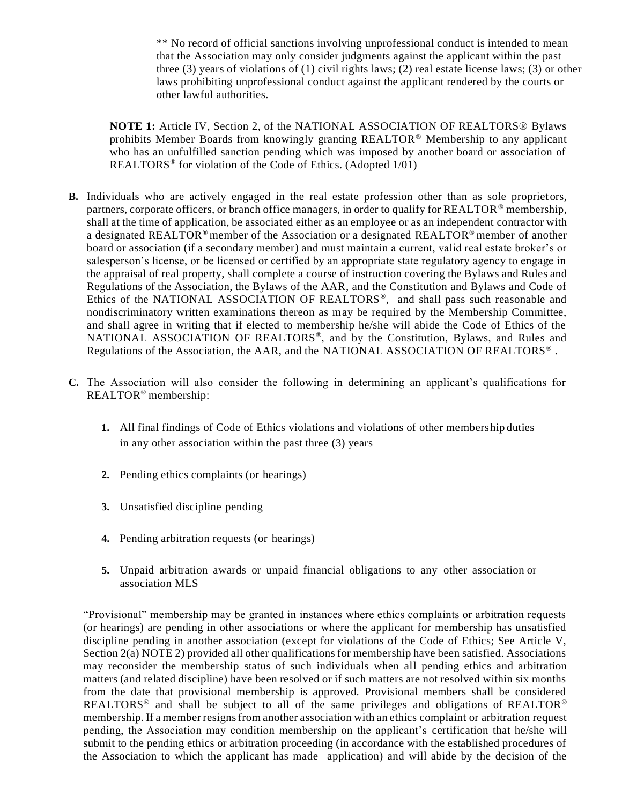\*\* No record of official sanctions involving unprofessional conduct is intended to mean that the Association may only consider judgments against the applicant within the past three (3) years of violations of (1) civil rights laws; (2) real estate license laws; (3) or other laws prohibiting unprofessional conduct against the applicant rendered by the courts or other lawful authorities.

**NOTE 1:** Article IV, Section 2, of the NATIONAL ASSOCIATION OF REALTORS® Bylaws prohibits Member Boards from knowingly granting REALTOR® Membership to any applicant who has an unfulfilled sanction pending which was imposed by another board or association of REALTORS<sup>®</sup> for violation of the Code of Ethics. (Adopted 1/01)

- **B.** Individuals who are actively engaged in the real estate profession other than as sole proprietors, partners, corporate officers, or branch office managers, in order to qualify for REALTOR<sup>®</sup> membership, shall at the time of application, be associated either as an employee or as an independent contractor with a designated REALTOR®member of the Association or a designated REALTOR® member of another board or association (if a secondary member) and must maintain a current, valid real estate broker's or salesperson's license, or be licensed or certified by an appropriate state regulatory agency to engage in the appraisal of real property, shall complete a course of instruction covering the Bylaws and Rules and Regulations of the Association, the Bylaws of the AAR, and the Constitution and Bylaws and Code of Ethics of the NATIONAL ASSOCIATION OF REALTORS<sup>®</sup>, and shall pass such reasonable and nondiscriminatory written examinations thereon as may be required by the Membership Committee, and shall agree in writing that if elected to membership he/she will abide the Code of Ethics of the NATIONAL ASSOCIATION OF REALTORS<sup>®</sup>, and by the Constitution, Bylaws, and Rules and Regulations of the Association, the AAR, and the NATIONAL ASSOCIATION OF REALTORS<sup>®</sup>.
- **C.** The Association will also consider the following in determining an applicant's qualifications for REALTOR® membership:
	- **1.** All final findings of Code of Ethics violations and violations of other membership duties in any other association within the past three (3) years
	- **2.** Pending ethics complaints (or hearings)
	- **3.** Unsatisfied discipline pending
	- **4.** Pending arbitration requests (or hearings)
	- **5.** Unpaid arbitration awards or unpaid financial obligations to any other association or association MLS

"Provisional" membership may be granted in instances where ethics complaints or arbitration requests (or hearings) are pending in other associations or where the applicant for membership has unsatisfied discipline pending in another association (except for violations of the Code of Ethics; See Article V, Section 2(a) NOTE 2) provided all other qualifications for membership have been satisfied. Associations may reconsider the membership status of such individuals when all pending ethics and arbitration matters (and related discipline) have been resolved or if such matters are not resolved within six months from the date that provisional membership is approved. Provisional members shall be considered REALTORS<sup>®</sup> and shall be subject to all of the same privileges and obligations of REALTOR<sup>®</sup> membership. If a member resigns from another association with an ethics complaint or arbitration request pending, the Association may condition membership on the applicant's certification that he/she will submit to the pending ethics or arbitration proceeding (in accordance with the established procedures of the Association to which the applicant has made application) and will abide by the decision of the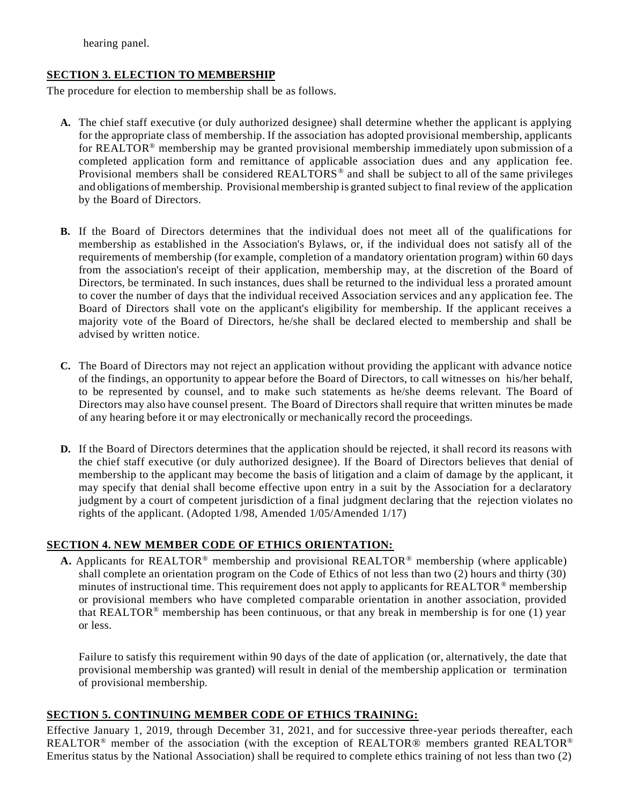hearing panel.

### **SECTION 3. ELECTION TO MEMBERSHIP**

The procedure for election to membership shall be as follows.

- **A.** The chief staff executive (or duly authorized designee) shall determine whether the applicant is applying for the appropriate class of membership. If the association has adopted provisional membership, applicants for REALTOR<sup>®</sup> membership may be granted provisional membership immediately upon submission of a completed application form and remittance of applicable association dues and any application fee. Provisional members shall be considered REALTORS<sup>®</sup> and shall be subject to all of the same privileges and obligations of membership. Provisional membership is granted subject to final review of the application by the Board of Directors.
- **B.** If the Board of Directors determines that the individual does not meet all of the qualifications for membership as established in the Association's Bylaws, or, if the individual does not satisfy all of the requirements of membership (for example, completion of a mandatory orientation program) within 60 days from the association's receipt of their application, membership may, at the discretion of the Board of Directors, be terminated. In such instances, dues shall be returned to the individual less a prorated amount to cover the number of days that the individual received Association services and any application fee. The Board of Directors shall vote on the applicant's eligibility for membership. If the applicant receives a majority vote of the Board of Directors, he/she shall be declared elected to membership and shall be advised by written notice.
- **C.** The Board of Directors may not reject an application without providing the applicant with advance notice of the findings, an opportunity to appear before the Board of Directors, to call witnesses on his/her behalf, to be represented by counsel, and to make such statements as he/she deems relevant. The Board of Directors may also have counsel present. The Board of Directors shall require that written minutes be made of any hearing before it or may electronically or mechanically record the proceedings.
- **D.** If the Board of Directors determines that the application should be rejected, it shall record its reasons with the chief staff executive (or duly authorized designee). If the Board of Directors believes that denial of membership to the applicant may become the basis of litigation and a claim of damage by the applicant, it may specify that denial shall become effective upon entry in a suit by the Association for a declaratory judgment by a court of competent jurisdiction of a final judgment declaring that the rejection violates no rights of the applicant. (Adopted 1/98, Amended 1/05/Amended 1/17)

#### **SECTION 4. NEW MEMBER CODE OF ETHICS ORIENTATION:**

**A.** Applicants for REALTOR® membership and provisional REALTOR® membership (where applicable) shall complete an orientation program on the Code of Ethics of not less than two (2) hours and thirty (30) minutes of instructional time. This requirement does not apply to applicants for REALTOR ® membership or provisional members who have completed comparable orientation in another association, provided that REALTOR<sup>®</sup> membership has been continuous, or that any break in membership is for one (1) year or less.

Failure to satisfy this requirement within 90 days of the date of application (or, alternatively, the date that provisional membership was granted) will result in denial of the membership application or termination of provisional membership.

### **SECTION 5. CONTINUING MEMBER CODE OF ETHICS TRAINING:**

Effective January 1, 2019, through December 31, 2021, and for successive three-year periods thereafter, each REALTOR® member of the association (with the exception of REALTOR® members granted REALTOR® Emeritus status by the National Association) shall be required to complete ethics training of not less than two (2)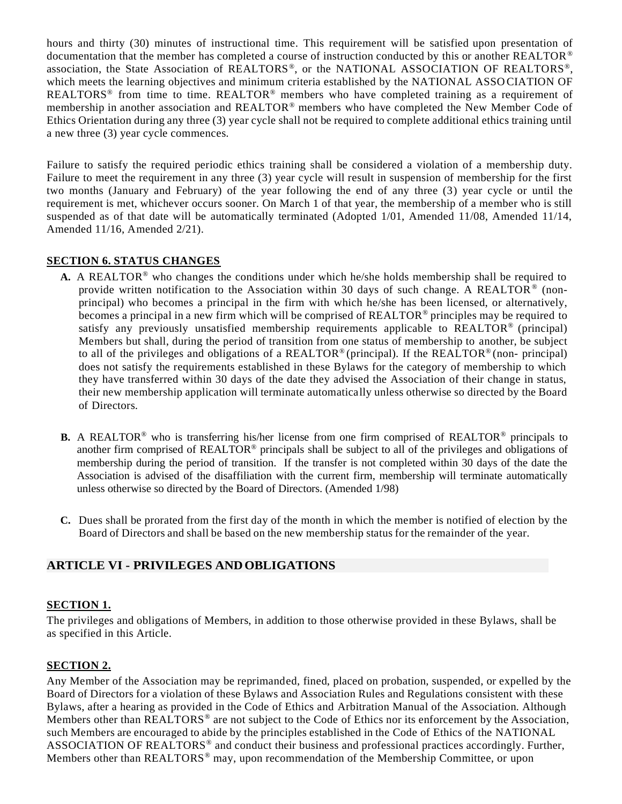hours and thirty (30) minutes of instructional time. This requirement will be satisfied upon presentation of documentation that the member has completed a course of instruction conducted by this or another REALTOR® association, the State Association of REALTORS®, or the NATIONAL ASSOCIATION OF REALTORS®, which meets the learning objectives and minimum criteria established by the NATIONAL ASSO CIATION OF REALTORS<sup>®</sup> from time to time. REALTOR<sup>®</sup> members who have completed training as a requirement of membership in another association and REALTOR® members who have completed the New Member Code of Ethics Orientation during any three (3) year cycle shall not be required to complete additional ethics training until a new three (3) year cycle commences.

Failure to satisfy the required periodic ethics training shall be considered a violation of a membership duty. Failure to meet the requirement in any three (3) year cycle will result in suspension of membership for the first two months (January and February) of the year following the end of any three (3) year cycle or until the requirement is met, whichever occurs sooner. On March 1 of that year, the membership of a member who is still suspended as of that date will be automatically terminated (Adopted 1/01, Amended 11/08, Amended 11/14, Amended 11/16, Amended 2/21).

#### **SECTION 6. STATUS CHANGES**

- **A.** A REALTOR® who changes the conditions under which he/she holds membership shall be required to provide written notification to the Association within 30 days of such change. A REALTOR<sup>®</sup> (nonprincipal) who becomes a principal in the firm with which he/she has been licensed, or alternatively, becomes a principal in a new firm which will be comprised of REALTOR® principles may be required to satisfy any previously unsatisfied membership requirements applicable to REALTOR<sup>®</sup> (principal) Members but shall, during the period of transition from one status of membership to another, be subject to all of the privileges and obligations of a REALTOR<sup>®</sup> (principal). If the REALTOR<sup>®</sup> (non-principal) does not satisfy the requirements established in these Bylaws for the category of membership to which they have transferred within 30 days of the date they advised the Association of their change in status, their new membership application will terminate automatically unless otherwise so directed by the Board of Directors.
- **B.** A REALTOR<sup>®</sup> who is transferring his/her license from one firm comprised of REALTOR<sup>®</sup> principals to another firm comprised of REALTOR® principals shall be subject to all of the privileges and obligations of membership during the period of transition. If the transfer is not completed within 30 days of the date the Association is advised of the disaffiliation with the current firm, membership will terminate automatically unless otherwise so directed by the Board of Directors. (Amended 1/98)
- **C.** Dues shall be prorated from the first day of the month in which the member is notified of election by the Board of Directors and shall be based on the new membership status for the remainder of the year.

### <span id="page-7-0"></span>**ARTICLE VI - PRIVILEGES ANDOBLIGATIONS**

### **SECTION 1.**

The privileges and obligations of Members, in addition to those otherwise provided in these Bylaws, shall be as specified in this Article.

#### **SECTION 2.**

Any Member of the Association may be reprimanded, fined, placed on probation, suspended, or expelled by the Board of Directors for a violation of these Bylaws and Association Rules and Regulations consistent with these Bylaws, after a hearing as provided in the Code of Ethics and Arbitration Manual of the Association. Although Members other than REALTORS<sup>®</sup> are not subject to the Code of Ethics nor its enforcement by the Association, such Members are encouraged to abide by the principles established in the Code of Ethics of the NATIONAL ASSOCIATION OF REALTORS<sup>®</sup> and conduct their business and professional practices accordingly. Further, Members other than REALTORS® may, upon recommendation of the Membership Committee, or upon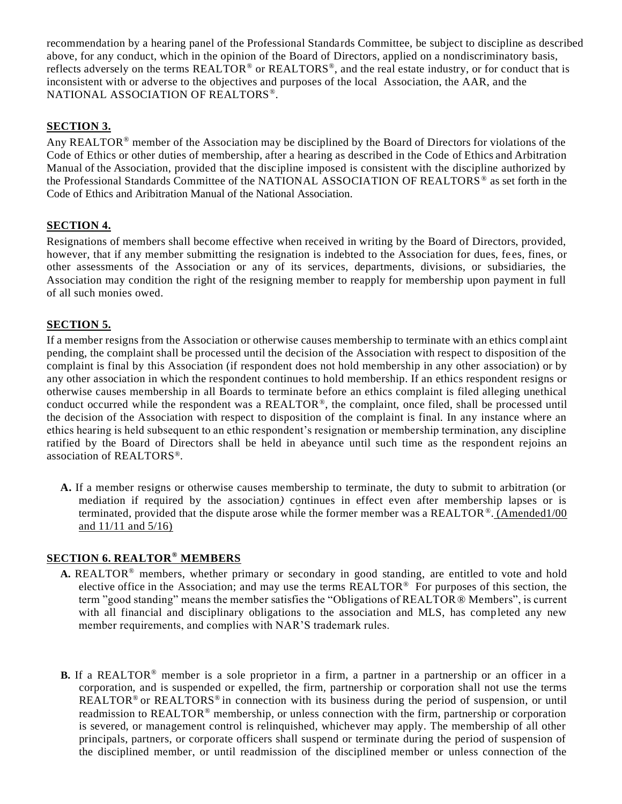recommendation by a hearing panel of the Professional Standards Committee, be subject to discipline as described above, for any conduct, which in the opinion of the Board of Directors, applied on a nondiscriminatory basis, reflects adversely on the terms REALTOR® or REALTORS<sup>®</sup>, and the real estate industry, or for conduct that is inconsistent with or adverse to the objectives and purposes of the local Association, the AAR, and the NATIONAL ASSOCIATION OF REALTORS® .

## **SECTION 3.**

Any REALTOR® member of the Association may be disciplined by the Board of Directors for violations of the Code of Ethics or other duties of membership, after a hearing as described in the Code of Ethics and Arbitration Manual of the Association, provided that the discipline imposed is consistent with the discipline authorized by the Professional Standards Committee of the NATIONAL ASSOCIATION OF REALTORS ® as set forth in the Code of Ethics and Aribitration Manual of the National Association.

### **SECTION 4.**

Resignations of members shall become effective when received in writing by the Board of Directors, provided, however, that if any member submitting the resignation is indebted to the Association for dues, fees, fines, or other assessments of the Association or any of its services, departments, divisions, or subsidiaries, the Association may condition the right of the resigning member to reapply for membership upon payment in full of all such monies owed.

## **SECTION 5.**

If a member resigns from the Association or otherwise causes membership to terminate with an ethics compl aint pending, the complaint shall be processed until the decision of the Association with respect to disposition of the complaint is final by this Association (if respondent does not hold membership in any other association) or by any other association in which the respondent continues to hold membership. If an ethics respondent resigns or otherwise causes membership in all Boards to terminate before an ethics complaint is filed alleging unethical conduct occurred while the respondent was a REALTOR®, the complaint, once filed, shall be processed until the decision of the Association with respect to disposition of the complaint is final. In any instance where an ethics hearing is held subsequent to an ethic respondent's resignation or membership termination, any discipline ratified by the Board of Directors shall be held in abeyance until such time as the respondent rejoins an association of REALTORS®.

**A.** If a member resigns or otherwise causes membership to terminate, the duty to submit to arbitration (or mediation if required by the association*)* continues in effect even after membership lapses or is terminated, provided that the dispute arose while the former member was a REALTOR®. (Amended1/00 and 11/11 and 5/16)

### **SECTION 6. REALTOR® MEMBERS**

- **A.** REALTOR® members, whether primary or secondary in good standing, are entitled to vote and hold elective office in the Association; and may use the terms REALTOR® For purposes of this section, the term "good standing" means the member satisfies the "Obligations of REALTOR® Members", is current with all financial and disciplinary obligations to the association and MLS, has completed any new member requirements, and complies with NAR'S trademark rules.
- **B.** If a REALTOR® member is a sole proprietor in a firm, a partner in a partnership or an officer in a corporation, and is suspended or expelled, the firm, partnership or corporation shall not use the terms REALTOR<sup>®</sup> or REALTORS<sup>®</sup> in connection with its business during the period of suspension, or until readmission to REALTOR® membership, or unless connection with the firm, partnership or corporation is severed, or management control is relinquished, whichever may apply. The membership of all other principals, partners, or corporate officers shall suspend or terminate during the period of suspension of the disciplined member, or until readmission of the disciplined member or unless connection of the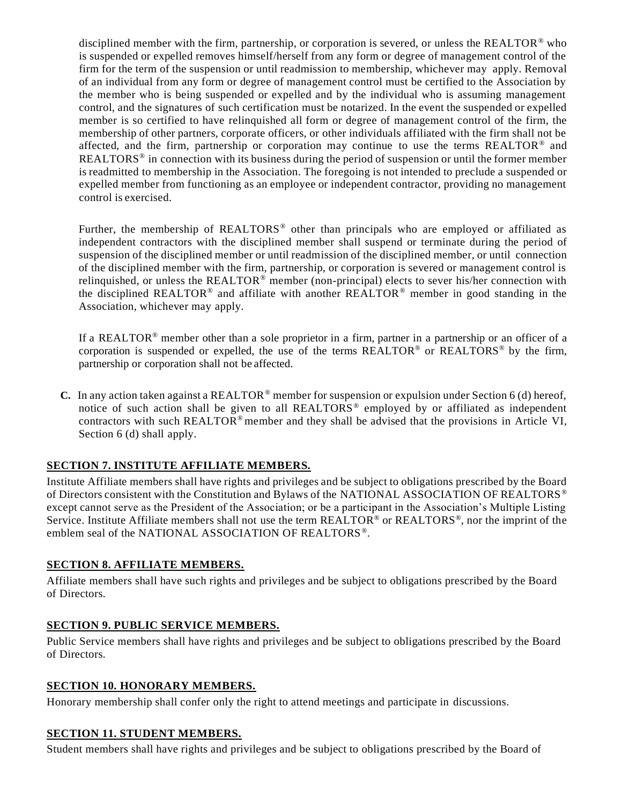disciplined member with the firm, partnership, or corporation is severed, or unless the REALTOR® who is suspended or expelled removes himself/herself from any form or degree of management control of the firm for the term of the suspension or until readmission to membership, whichever may apply. Removal of an individual from any form or degree of management control must be certified to the Association by the member who is being suspended or expelled and by the individual who is assuming management control, and the signatures of such certification must be notarized. In the event the suspended or expelled member is so certified to have relinquished all form or degree of management control of the firm, the membership of other partners, corporate officers, or other individuals affiliated with the firm shall not be affected, and the firm, partnership or corporation may continue to use the terms REALTOR® and REALTORS<sup>®</sup> in connection with its business during the period of suspension or until the former member is readmitted to membership in the Association. The foregoing is not intended to preclude a suspended or expelled member from functioning as an employee or independent contractor, providing no management control is exercised.

Further, the membership of REALTORS<sup>®</sup> other than principals who are employed or affiliated as independent contractors with the disciplined member shall suspend or terminate during the period of suspension of the disciplined member or until readmission of the disciplined member, or until connection of the disciplined member with the firm, partnership, or corporation is severed or management control is relinquished, or unless the REALTOR® member (non-principal) elects to sever his/her connection with the disciplined REALTOR<sup>®</sup> and affiliate with another REALTOR<sup>®</sup> member in good standing in the Association, whichever may apply.

If a REALTOR® member other than a sole proprietor in a firm, partner in a partnership or an officer of a corporation is suspended or expelled, the use of the terms  $REALTOR^{\circ}$  or  $REALTOR^{\circ}$  by the firm, partnership or corporation shall not be affected.

**C.** In any action taken against a REALTOR® member for suspension or expulsion under Section 6 (d) hereof, notice of such action shall be given to all REALTORS<sup>®</sup> employed by or affiliated as independent contractors with such REALTOR<sup>®</sup> member and they shall be advised that the provisions in Article VI, Section 6 (d) shall apply.

## **SECTION 7. INSTITUTE AFFILIATE MEMBERS.**

Institute Affiliate members shall have rights and privileges and be subject to obligations prescribed by the Board of Directors consistent with the Constitution and Bylaws of the NATIONAL ASSOCIATION OF REALTORS® except cannot serve as the President of the Association; or be a participant in the Association's Multiple Listing Service. Institute Affiliate members shall not use the term REALTOR® or REALTORS®, nor the imprint of the emblem seal of the NATIONAL ASSOCIATION OF REALTORS®.

#### **SECTION 8. AFFILIATE MEMBERS.**

Affiliate members shall have such rights and privileges and be subject to obligations prescribed by the Board of Directors.

### **SECTION 9. PUBLIC SERVICE MEMBERS.**

Public Service members shall have rights and privileges and be subject to obligations prescribed by the Board of Directors.

#### **SECTION 10. HONORARY MEMBERS.**

Honorary membership shall confer only the right to attend meetings and participate in discussions.

#### **SECTION 11. STUDENT MEMBERS.**

Student members shall have rights and privileges and be subject to obligations prescribed by the Board of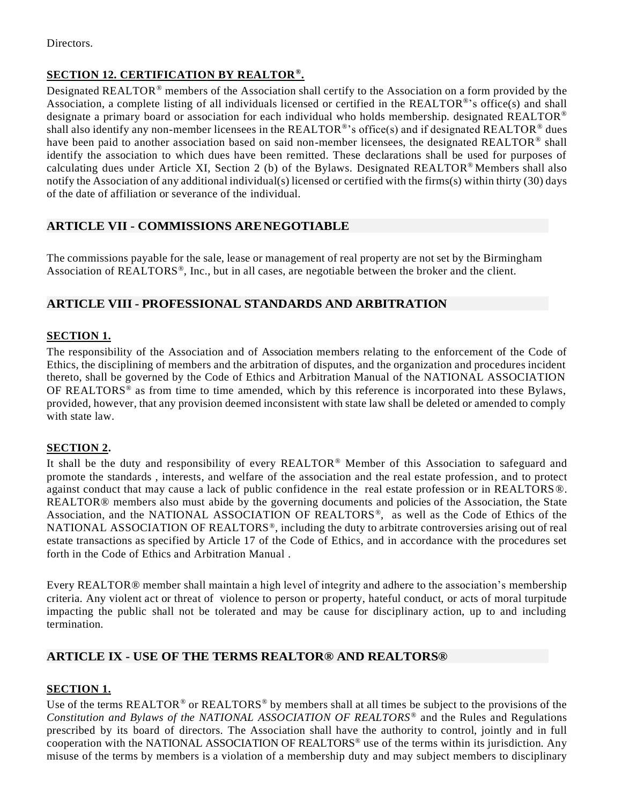Directors.

## **SECTION 12. CERTIFICATION BY REALTOR® .**

Designated REALTOR® members of the Association shall certify to the Association on a form provided by the Association, a complete listing of all individuals licensed or certified in the REALTOR®'s office(s) and shall designate a primary board or association for each individual who holds membership. designated REALTOR® shall also identify any non-member licensees in the REALTOR®'s office(s) and if designated REALTOR® dues have been paid to another association based on said non-member licensees, the designated REALTOR® shall identify the association to which dues have been remitted. These declarations shall be used for purposes of calculating dues under Article XI, Section 2 (b) of the Bylaws. Designated REALTOR® Members shall also notify the Association of any additional individual(s) licensed or certified with the firms(s) within thirty (30) days of the date of affiliation or severance of the individual.

## <span id="page-10-0"></span>**ARTICLE VII - COMMISSIONS ARENEGOTIABLE**

The commissions payable for the sale, lease or management of real property are not set by the Birmingham Association of REALTORS<sup>®</sup>, Inc., but in all cases, are negotiable between the broker and the client.

## <span id="page-10-1"></span>**ARTICLE VIII - PROFESSIONAL STANDARDS AND ARBITRATION**

## **SECTION 1.**

The responsibility of the Association and of Association members relating to the enforcement of the Code of Ethics, the disciplining of members and the arbitration of disputes, and the organization and procedures incident thereto, shall be governed by the Code of Ethics and Arbitration Manual of the NATIONAL ASSOCIATION OF REALTORS® as from time to time amended, which by this reference is incorporated into these Bylaws, provided, however, that any provision deemed inconsistent with state law shall be deleted or amended to comply with state law.

### **SECTION 2.**

It shall be the duty and responsibility of every REALTOR® Member of this Association to safeguard and promote the standards , interests, and welfare of the association and the real estate profession, and to protect against conduct that may cause a lack of public confidence in the real estate profession or in REALTORS®. REALTOR® members also must abide by the governing documents and policies of the Association, the State Association, and the NATIONAL ASSOCIATION OF REALTORS®, as well as the Code of Ethics of the NATIONAL ASSOCIATION OF REALTORS®, including the duty to arbitrate controversies arising out of real estate transactions as specified by Article 17 of the Code of Ethics, and in accordance with the procedures set forth in the Code of Ethics and Arbitration Manual .

Every REALTOR® member shall maintain a high level of integrity and adhere to the association's membership criteria. Any violent act or threat of violence to person or property, hateful conduct, or acts of moral turpitude impacting the public shall not be tolerated and may be cause for disciplinary action, up to and including termination.

### <span id="page-10-2"></span>**ARTICLE IX - USE OF THE TERMS REALTOR® AND REALTORS®**

### **SECTION 1.**

Use of the terms REALTOR<sup>®</sup> or REALTORS<sup>®</sup> by members shall at all times be subject to the provisions of the *Constitution and Bylaws of the NATIONAL ASSOCIATION OF REALTORS*® and the Rules and Regulations prescribed by its board of directors. The Association shall have the authority to control, jointly and in full cooperation with the NATIONAL ASSOCIATION OF REALTORS® use of the terms within its jurisdiction. Any misuse of the terms by members is a violation of a membership duty and may subject members to disciplinary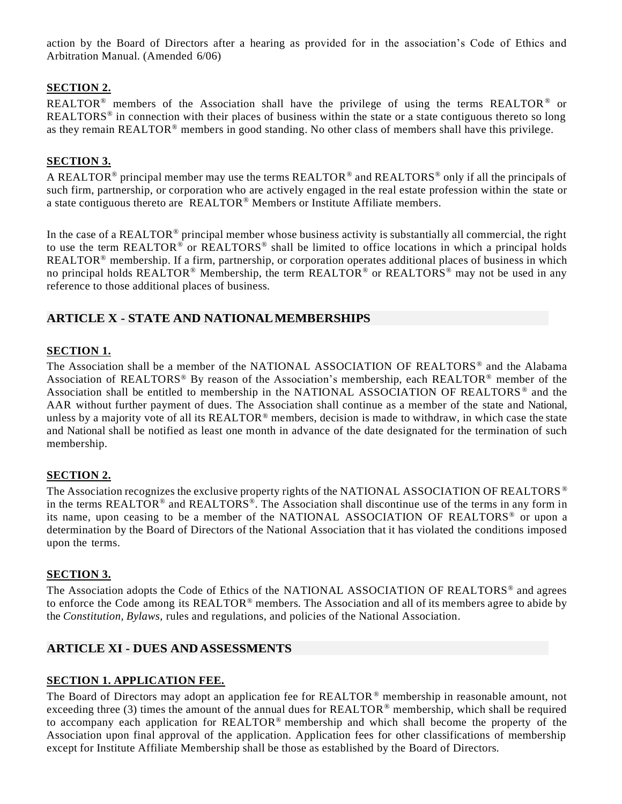action by the Board of Directors after a hearing as provided for in the association's Code of Ethics and Arbitration Manual. (Amended 6/06)

## **SECTION 2.**

REALTOR<sup>®</sup> members of the Association shall have the privilege of using the terms REALTOR<sup>®</sup> or REALTORS<sup>®</sup> in connection with their places of business within the state or a state contiguous thereto so long as they remain REALTOR® members in good standing. No other class of members shall have this privilege.

## **SECTION 3.**

A REALTOR<sup>®</sup> principal member may use the terms REALTOR<sup>®</sup> and REALTORS<sup>®</sup> only if all the principals of such firm, partnership, or corporation who are actively engaged in the real estate profession within the state or a state contiguous thereto are REALTOR® Members or Institute Affiliate members.

In the case of a REALTOR<sup>®</sup> principal member whose business activity is substantially all commercial, the right to use the term REALTOR® or REALTORS<sup>®</sup> shall be limited to office locations in which a principal holds REALTOR<sup>®</sup> membership. If a firm, partnership, or corporation operates additional places of business in which no principal holds REALTOR<sup>®</sup> Membership, the term REALTOR<sup>®</sup> or REALTORS<sup>®</sup> may not be used in any reference to those additional places of business.

## <span id="page-11-0"></span>**ARTICLE X - STATE AND NATIONALMEMBERSHIPS**

### **SECTION 1.**

The Association shall be a member of the NATIONAL ASSOCIATION OF REALTORS® and the Alabama Association of REALTORS® By reason of the Association's membership, each REALTOR® member of the Association shall be entitled to membership in the NATIONAL ASSOCIATION OF REALTORS ® and the AAR without further payment of dues. The Association shall continue as a member of the state and National, unless by a majority vote of all its REALTOR® members, decision is made to withdraw, in which case the state and National shall be notified as least one month in advance of the date designated for the termination of such membership.

### **SECTION 2.**

The Association recognizes the exclusive property rights of the NATIONAL ASSOCIATION OF REALTORS ® in the terms REALTOR<sup>®</sup> and REALTORS<sup>®</sup>. The Association shall discontinue use of the terms in any form in its name, upon ceasing to be a member of the NATIONAL ASSOCIATION OF REALTORS® or upon a determination by the Board of Directors of the National Association that it has violated the conditions imposed upon the terms.

### **SECTION 3.**

The Association adopts the Code of Ethics of the NATIONAL ASSOCIATION OF REALTORS® and agrees to enforce the Code among its REALTOR® members. The Association and all of its members agree to abide by the *Constitution, Bylaws,* rules and regulations, and policies of the National Association.

### <span id="page-11-1"></span>**ARTICLE XI - DUES ANDASSESSMENTS**

### **SECTION 1. APPLICATION FEE.**

The Board of Directors may adopt an application fee for REALTOR ® membership in reasonable amount, not exceeding three (3) times the amount of the annual dues for REALTOR® membership, which shall be required to accompany each application for REALTOR® membership and which shall become the property of the Association upon final approval of the application. Application fees for other classifications of membership except for Institute Affiliate Membership shall be those as established by the Board of Directors.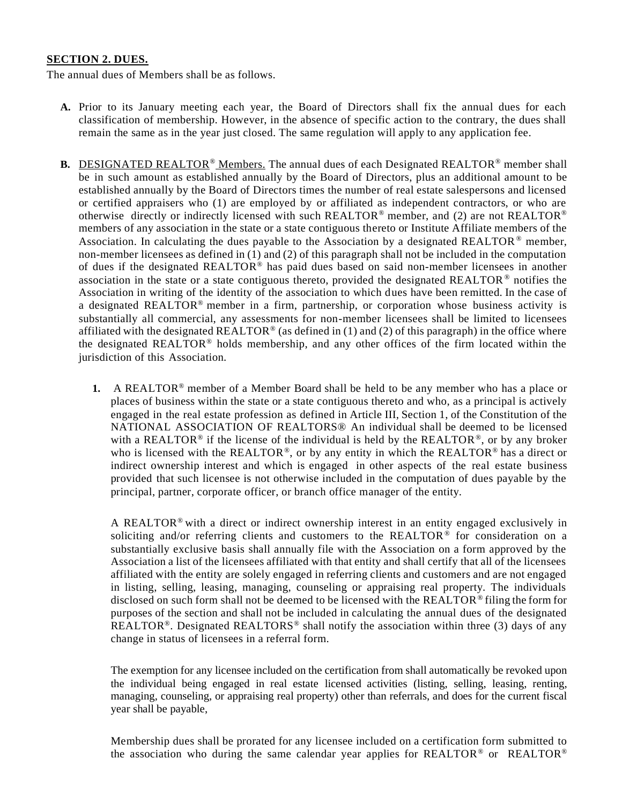#### **SECTION 2. DUES.**

The annual dues of Members shall be as follows.

- **A.** Prior to its January meeting each year, the Board of Directors shall fix the annual dues for each classification of membership. However, in the absence of specific action to the contrary, the dues shall remain the same as in the year just closed. The same regulation will apply to any application fee.
- **B.** DESIGNATED REALTOR® Members. The annual dues of each Designated REALTOR® member shall be in such amount as established annually by the Board of Directors, plus an additional amount to be established annually by the Board of Directors times the number of real estate salespersons and licensed or certified appraisers who (1) are employed by or affiliated as independent contractors, or who are otherwise directly or indirectly licensed with such REALTOR® member, and (2) are not REALTOR® members of any association in the state or a state contiguous thereto or Institute Affiliate members of the Association. In calculating the dues payable to the Association by a designated  $REALTOR^{\circledcirc}$  member, non-member licensees as defined in (1) and (2) of this paragraph shall not be included in the computation of dues if the designated REALTOR® has paid dues based on said non-member licensees in another association in the state or a state contiguous thereto, provided the designated REALTOR  $\degree$  notifies the Association in writing of the identity of the association to which dues have been remitted. In the case of a designated REALTOR® member in a firm, partnership, or corporation whose business activity is substantially all commercial, any assessments for non-member licensees shall be limited to licensees affiliated with the designated REALTOR<sup>®</sup> (as defined in (1) and (2) of this paragraph) in the office where the designated REALTOR® holds membership, and any other offices of the firm located within the jurisdiction of this Association.
	- **1.** A REALTOR® member of a Member Board shall be held to be any member who has a place or places of business within the state or a state contiguous thereto and who, as a principal is actively engaged in the real estate profession as defined in Article III, Section 1, of the Constitution of the NATIONAL ASSOCIATION OF REALTORS® An individual shall be deemed to be licensed with a REALTOR<sup>®</sup> if the license of the individual is held by the REALTOR<sup>®</sup>, or by any broker who is licensed with the REALTOR<sup>®</sup>, or by any entity in which the REALTOR<sup>®</sup> has a direct or indirect ownership interest and which is engaged in other aspects of the real estate business provided that such licensee is not otherwise included in the computation of dues payable by the principal, partner, corporate officer, or branch office manager of the entity.

A REALTOR<sup>®</sup> with a direct or indirect ownership interest in an entity engaged exclusively in soliciting and/or referring clients and customers to the REALTOR® for consideration on a substantially exclusive basis shall annually file with the Association on a form approved by the Association a list of the licensees affiliated with that entity and shall certify that all of the licensees affiliated with the entity are solely engaged in referring clients and customers and are not engaged in listing, selling, leasing, managing, counseling or appraising real property. The individuals disclosed on such form shall not be deemed to be licensed with the REALTOR<sup>®</sup> filing the form for purposes of the section and shall not be included in calculating the annual dues of the designated REALTOR<sup>®</sup>. Designated REALTORS<sup>®</sup> shall notify the association within three (3) days of any change in status of licensees in a referral form.

The exemption for any licensee included on the certification from shall automatically be revoked upon the individual being engaged in real estate licensed activities (listing, selling, leasing, renting, managing, counseling, or appraising real property) other than referrals, and does for the current fiscal year shall be payable,

Membership dues shall be prorated for any licensee included on a certification form submitted to the association who during the same calendar year applies for REALTOR® or REALTOR®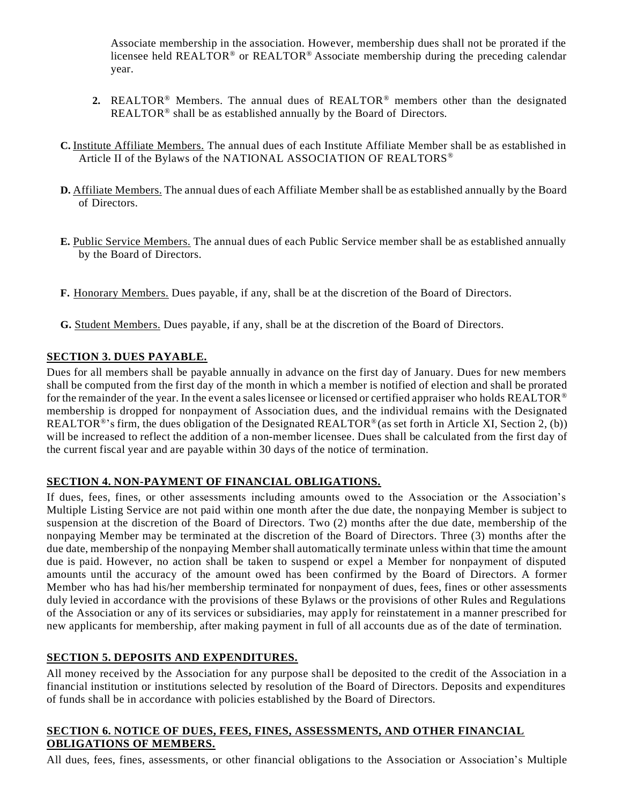Associate membership in the association. However, membership dues shall not be prorated if the licensee held REALTOR® or REALTOR® Associate membership during the preceding calendar year.

- **2.** REALTOR® Members. The annual dues of REALTOR® members other than the designated REALTOR<sup>®</sup> shall be as established annually by the Board of Directors.
- **C.** Institute Affiliate Members. The annual dues of each Institute Affiliate Member shall be as established in Article II of the Bylaws of the NATIONAL ASSOCIATION OF REALTORS®
- **D.** Affiliate Members. The annual dues of each Affiliate Member shall be as established annually by the Board of Directors.
- **E.** Public Service Members. The annual dues of each Public Service member shall be as established annually by the Board of Directors.
- **F.** Honorary Members. Dues payable, if any, shall be at the discretion of the Board of Directors.
- **G.** Student Members. Dues payable, if any, shall be at the discretion of the Board of Directors.

### **SECTION 3. DUES PAYABLE.**

Dues for all members shall be payable annually in advance on the first day of January. Dues for new members shall be computed from the first day of the month in which a member is notified of election and shall be prorated for the remainder of the year. In the event a sales licensee or licensed or certified appraiser who holds REALTOR<sup>®</sup> membership is dropped for nonpayment of Association dues, and the individual remains with the Designated REALTOR<sup>®</sup>'s firm, the dues obligation of the Designated REALTOR<sup>®</sup>(as set forth in Article XI, Section 2, (b)) will be increased to reflect the addition of a non-member licensee. Dues shall be calculated from the first day of the current fiscal year and are payable within 30 days of the notice of termination.

### **SECTION 4. NON-PAYMENT OF FINANCIAL OBLIGATIONS.**

If dues, fees, fines, or other assessments including amounts owed to the Association or the Association's Multiple Listing Service are not paid within one month after the due date, the nonpaying Member is subject to suspension at the discretion of the Board of Directors. Two (2) months after the due date, membership of the nonpaying Member may be terminated at the discretion of the Board of Directors. Three (3) months after the due date, membership of the nonpaying Member shall automatically terminate unless within that time the amount due is paid. However, no action shall be taken to suspend or expel a Member for nonpayment of disputed amounts until the accuracy of the amount owed has been confirmed by the Board of Directors. A former Member who has had his/her membership terminated for nonpayment of dues, fees, fines or other assessments duly levied in accordance with the provisions of these Bylaws or the provisions of other Rules and Regulations of the Association or any of its services or subsidiaries, may apply for reinstatement in a manner prescribed for new applicants for membership, after making payment in full of all accounts due as of the date of termination.

### **SECTION 5. DEPOSITS AND EXPENDITURES.**

All money received by the Association for any purpose shall be deposited to the credit of the Association in a financial institution or institutions selected by resolution of the Board of Directors. Deposits and expenditures of funds shall be in accordance with policies established by the Board of Directors.

### **SECTION 6. NOTICE OF DUES, FEES, FINES, ASSESSMENTS, AND OTHER FINANCIAL OBLIGATIONS OF MEMBERS.**

All dues, fees, fines, assessments, or other financial obligations to the Association or Association's Multiple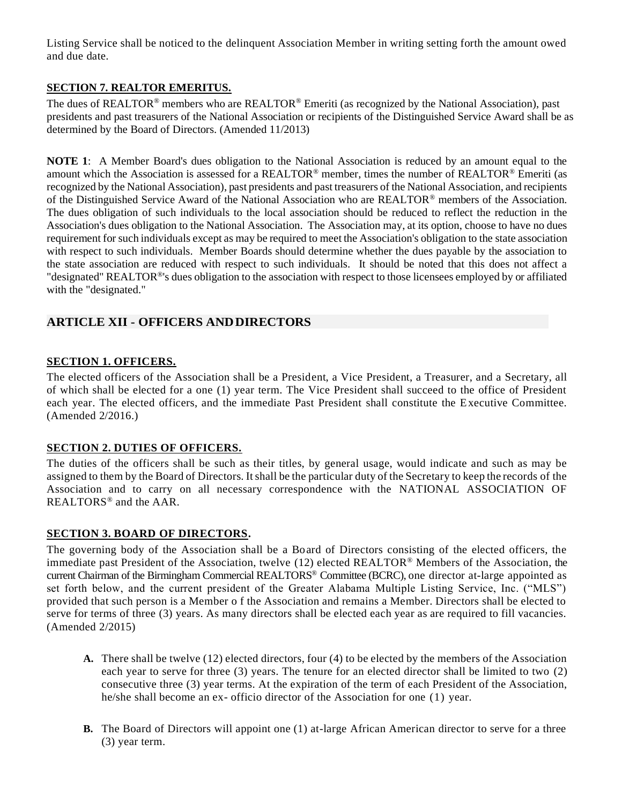Listing Service shall be noticed to the delinquent Association Member in writing setting forth the amount owed and due date.

## **SECTION 7. REALTOR EMERITUS.**

The dues of REALTOR<sup>®</sup> members who are REALTOR<sup>®</sup> Emeriti (as recognized by the National Association), past presidents and past treasurers of the National Association or recipients of the Distinguished Service Award shall be as determined by the Board of Directors. (Amended 11/2013)

**NOTE 1**: A Member Board's dues obligation to the National Association is reduced by an amount equal to the amount which the Association is assessed for a REALTOR<sup>®</sup> member, times the number of REALTOR<sup>®</sup> Emeriti (as recognized by the National Association), past presidents and past treasurers of the National Association, and recipients of the Distinguished Service Award of the National Association who are REALTOR® members of the Association. The dues obligation of such individuals to the local association should be reduced to reflect the reduction in the Association's dues obligation to the National Association. The Association may, at its option, choose to have no dues requirement for such individuals except as may be required to meet the Association's obligation to the state association with respect to such individuals. Member Boards should determine whether the dues payable by the association to the state association are reduced with respect to such individuals. It should be noted that this does not affect a "designated" REALTOR<sup>®'</sup>s dues obligation to the association with respect to those licensees employed by or affiliated with the "designated."

## <span id="page-14-0"></span>**ARTICLE XII - OFFICERS ANDDIRECTORS**

### **SECTION 1. OFFICERS.**

The elected officers of the Association shall be a President, a Vice President, a Treasurer, and a Secretary, all of which shall be elected for a one (1) year term. The Vice President shall succeed to the office of President each year. The elected officers, and the immediate Past President shall constitute the Executive Committee. (Amended 2/2016.)

### **SECTION 2. DUTIES OF OFFICERS.**

The duties of the officers shall be such as their titles, by general usage, would indicate and such as may be assigned to them by the Board of Directors. Itshall be the particular duty of the Secretary to keep the records of the Association and to carry on all necessary correspondence with the NATIONAL ASSOCIATION OF REALTORS® and the AAR.

### **SECTION 3. BOARD OF DIRECTORS.**

The governing body of the Association shall be a Board of Directors consisting of the elected officers, the immediate past President of the Association, twelve (12) elected REALTOR® Members of the Association, the current Chairman of the Birmingham Commercial REALTORS® Committee (BCRC), one director at-large appointed as set forth below, and the current president of the Greater Alabama Multiple Listing Service, Inc. ("MLS") provided that such person is a Member o f the Association and remains a Member. Directors shall be elected to serve for terms of three (3) years. As many directors shall be elected each year as are required to fill vacancies. (Amended 2/2015)

- **A.** There shall be twelve (12) elected directors, four (4) to be elected by the members of the Association each year to serve for three (3) years. The tenure for an elected director shall be limited to two (2) consecutive three (3) year terms. At the expiration of the term of each President of the Association, he/she shall become an ex- officio director of the Association for one (1) year.
- **B.** The Board of Directors will appoint one (1) at-large African American director to serve for a three (3) year term.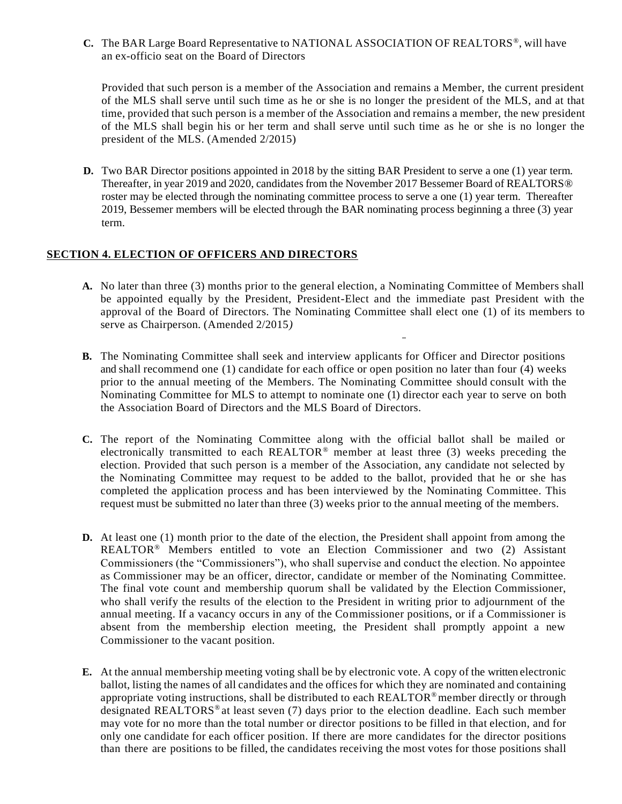**C.** The BAR Large Board Representative to NATIONAL ASSOCIATION OF REALTORS® , will have an ex-officio seat on the Board of Directors

Provided that such person is a member of the Association and remains a Member, the current president of the MLS shall serve until such time as he or she is no longer the president of the MLS, and at that time, provided that such person is a member of the Association and remains a member, the new president of the MLS shall begin his or her term and shall serve until such time as he or she is no longer the president of the MLS. (Amended 2/2015)

**D.** Two BAR Director positions appointed in 2018 by the sitting BAR President to serve a one (1) year term. Thereafter, in year 2019 and 2020, candidates from the November 2017 Bessemer Board of REALTORS® roster may be elected through the nominating committee process to serve a one (1) year term. Thereafter 2019, Bessemer members will be elected through the BAR nominating process beginning a three (3) year term.

#### **SECTION 4. ELECTION OF OFFICERS AND DIRECTORS**

- **A.** No later than three (3) months prior to the general election, a Nominating Committee of Members shall be appointed equally by the President, President-Elect and the immediate past President with the approval of the Board of Directors. The Nominating Committee shall elect one (1) of its members to serve as Chairperson. (Amended 2/2015*)*
- **B.** The Nominating Committee shall seek and interview applicants for Officer and Director positions and shall recommend one (1) candidate for each office or open position no later than four (4) weeks prior to the annual meeting of the Members. The Nominating Committee should consult with the Nominating Committee for MLS to attempt to nominate one (1) director each year to serve on both the Association Board of Directors and the MLS Board of Directors.
- **C.** The report of the Nominating Committee along with the official ballot shall be mailed or electronically transmitted to each REALTOR® member at least three (3) weeks preceding the election. Provided that such person is a member of the Association, any candidate not selected by the Nominating Committee may request to be added to the ballot, provided that he or she has completed the application process and has been interviewed by the Nominating Committee. This request must be submitted no later than three (3) weeks prior to the annual meeting of the members.
- **D.** At least one (1) month prior to the date of the election, the President shall appoint from among the REALTOR® Members entitled to vote an Election Commissioner and two (2) Assistant Commissioners (the "Commissioners"), who shall supervise and conduct the election. No appointee as Commissioner may be an officer, director, candidate or member of the Nominating Committee. The final vote count and membership quorum shall be validated by the Election Commissioner, who shall verify the results of the election to the President in writing prior to adjournment of the annual meeting. If a vacancy occurs in any of the Commissioner positions, or if a Commissioner is absent from the membership election meeting, the President shall promptly appoint a new Commissioner to the vacant position.
- **E.** At the annual membership meeting voting shall be by electronic vote. A copy of the written electronic ballot, listing the names of all candidates and the offices for which they are nominated and containing appropriate voting instructions, shall be distributed to each REALTOR®member directly or through designated REALTORS<sup>®</sup> at least seven (7) days prior to the election deadline. Each such member may vote for no more than the total number or director positions to be filled in that election, and for only one candidate for each officer position. If there are more candidates for the director positions than there are positions to be filled, the candidates receiving the most votes for those positions shall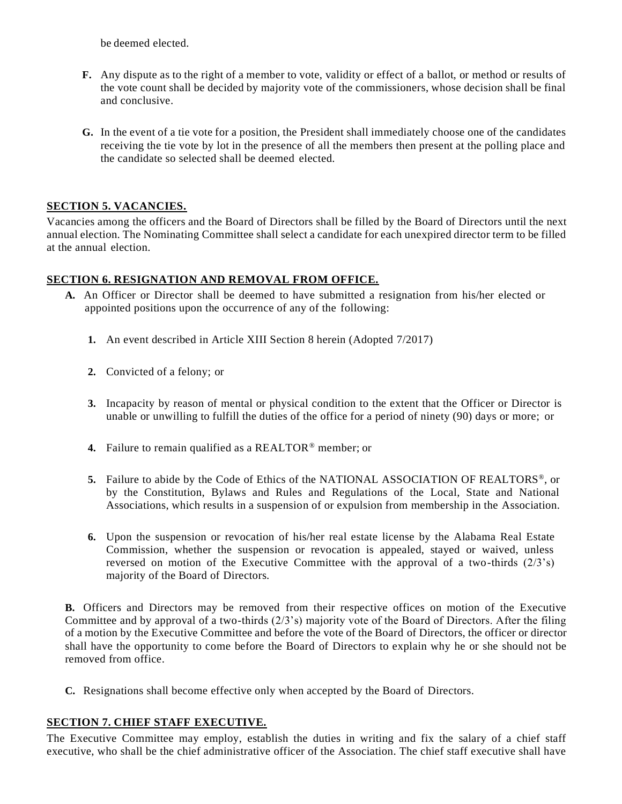be deemed elected.

- **F.** Any dispute as to the right of a member to vote, validity or effect of a ballot, or method or results of the vote count shall be decided by majority vote of the commissioners, whose decision shall be final and conclusive.
- **G.** In the event of a tie vote for a position, the President shall immediately choose one of the candidates receiving the tie vote by lot in the presence of all the members then present at the polling place and the candidate so selected shall be deemed elected.

## **SECTION 5. VACANCIES.**

Vacancies among the officers and the Board of Directors shall be filled by the Board of Directors until the next annual election. The Nominating Committee shall select a candidate for each unexpired director term to be filled at the annual election.

## **SECTION 6. RESIGNATION AND REMOVAL FROM OFFICE.**

- **A.** An Officer or Director shall be deemed to have submitted a resignation from his/her elected or appointed positions upon the occurrence of any of the following:
	- **1.** An event described in Article XIII Section 8 herein (Adopted 7/2017)
	- **2.** Convicted of a felony; or
	- **3.** Incapacity by reason of mental or physical condition to the extent that the Officer or Director is unable or unwilling to fulfill the duties of the office for a period of ninety (90) days or more; or
	- **4.** Failure to remain qualified as a REALTOR® member; or
	- 5. Failure to abide by the Code of Ethics of the NATIONAL ASSOCIATION OF REALTORS<sup>®</sup>, or by the Constitution, Bylaws and Rules and Regulations of the Local, State and National Associations, which results in a suspension of or expulsion from membership in the Association.
	- **6.** Upon the suspension or revocation of his/her real estate license by the Alabama Real Estate Commission, whether the suspension or revocation is appealed, stayed or waived, unless reversed on motion of the Executive Committee with the approval of a two-thirds  $(2/3)$ 's) majority of the Board of Directors.

**B.** Officers and Directors may be removed from their respective offices on motion of the Executive Committee and by approval of a two-thirds (2/3's) majority vote of the Board of Directors. After the filing of a motion by the Executive Committee and before the vote of the Board of Directors, the officer or director shall have the opportunity to come before the Board of Directors to explain why he or she should not be removed from office.

**C.** Resignations shall become effective only when accepted by the Board of Directors.

### **SECTION 7. CHIEF STAFF EXECUTIVE.**

The Executive Committee may employ, establish the duties in writing and fix the salary of a chief staff executive, who shall be the chief administrative officer of the Association. The chief staff executive shall have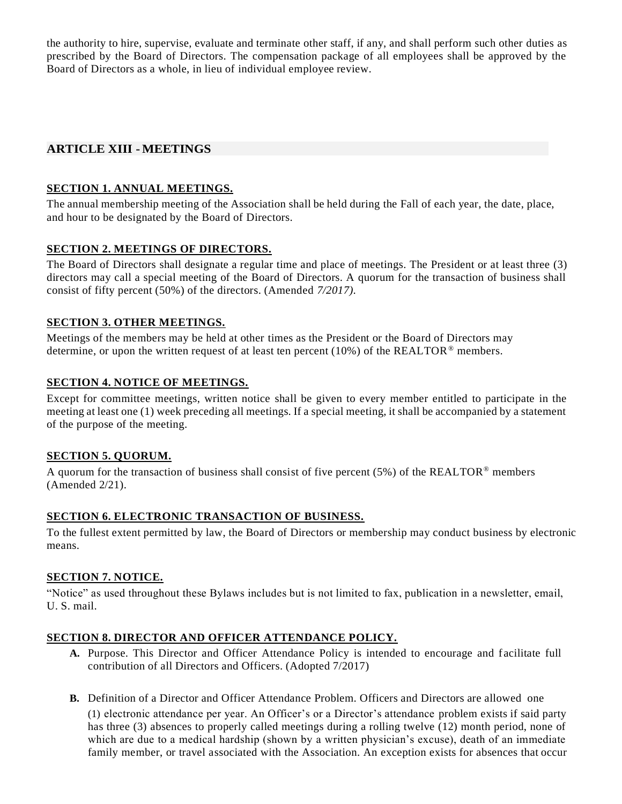the authority to hire, supervise, evaluate and terminate other staff, if any, and shall perform such other duties as prescribed by the Board of Directors. The compensation package of all employees shall be approved by the Board of Directors as a whole, in lieu of individual employee review.

## <span id="page-17-0"></span>**ARTICLE XIII - MEETINGS**

### **SECTION 1. ANNUAL MEETINGS.**

The annual membership meeting of the Association shall be held during the Fall of each year, the date, place, and hour to be designated by the Board of Directors.

## **SECTION 2. MEETINGS OF DIRECTORS.**

The Board of Directors shall designate a regular time and place of meetings. The President or at least three (3) directors may call a special meeting of the Board of Directors. A quorum for the transaction of business shall consist of fifty percent (50%) of the directors. (Amended *7/2017).*

### **SECTION 3. OTHER MEETINGS.**

Meetings of the members may be held at other times as the President or the Board of Directors may determine, or upon the written request of at least ten percent (10%) of the REALTOR<sup>®</sup> members.

## **SECTION 4. NOTICE OF MEETINGS.**

Except for committee meetings, written notice shall be given to every member entitled to participate in the meeting at least one (1) week preceding all meetings. If a special meeting, it shall be accompanied by a statement of the purpose of the meeting.

### **SECTION 5. QUORUM.**

A quorum for the transaction of business shall consist of five percent (5%) of the REALTOR<sup>®</sup> members (Amended 2/21).

## **SECTION 6. ELECTRONIC TRANSACTION OF BUSINESS.**

To the fullest extent permitted by law, the Board of Directors or membership may conduct business by electronic means.

## **SECTION 7. NOTICE.**

"Notice" as used throughout these Bylaws includes but is not limited to fax, publication in a newsletter, email, U. S. mail.

### **SECTION 8. DIRECTOR AND OFFICER ATTENDANCE POLICY.**

- **A.** Purpose. This Director and Officer Attendance Policy is intended to encourage and f acilitate full contribution of all Directors and Officers. (Adopted 7/2017)
- **B.** Definition of a Director and Officer Attendance Problem. Officers and Directors are allowed one

(1) electronic attendance per year. An Officer's or a Director's attendance problem exists if said party has three (3) absences to properly called meetings during a rolling twelve (12) month period, none of which are due to a medical hardship (shown by a written physician's excuse), death of an immediate family member, or travel associated with the Association. An exception exists for absences that occur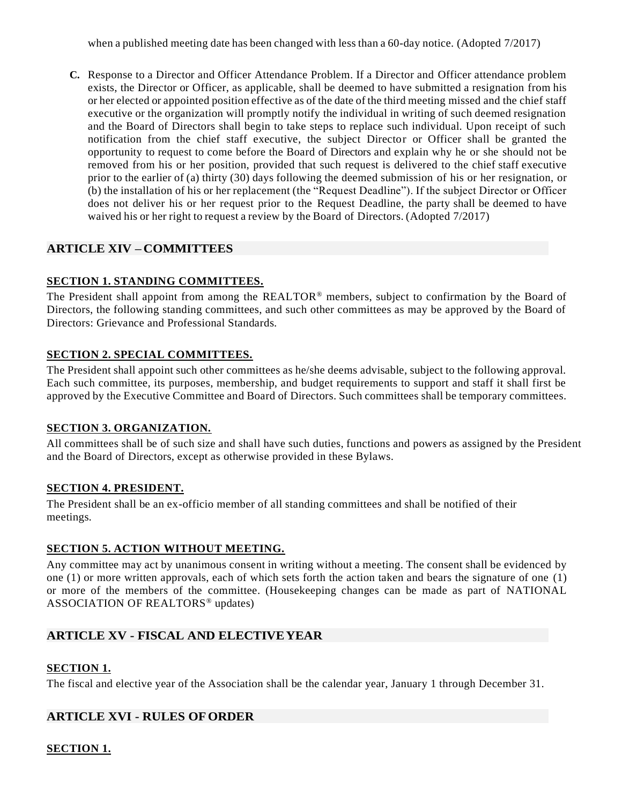when a published meeting date has been changed with less than a 60-day notice. (Adopted 7/2017)

**C.** Response to a Director and Officer Attendance Problem. If a Director and Officer attendance problem exists, the Director or Officer, as applicable, shall be deemed to have submitted a resignation from his or her elected or appointed position effective as of the date of the third meeting missed and the chief staff executive or the organization will promptly notify the individual in writing of such deemed resignation and the Board of Directors shall begin to take steps to replace such individual. Upon receipt of such notification from the chief staff executive, the subject Director or Officer shall be granted the opportunity to request to come before the Board of Directors and explain why he or she should not be removed from his or her position, provided that such request is delivered to the chief staff executive prior to the earlier of (a) thirty (30) days following the deemed submission of his or her resignation, or (b) the installation of his or her replacement (the "Request Deadline"). If the subject Director or Officer does not deliver his or her request prior to the Request Deadline, the party shall be deemed to have waived his or her right to request a review by the Board of Directors. (Adopted 7/2017)

## <span id="page-18-0"></span>**ARTICLE XIV – COMMITTEES**

### **SECTION 1. STANDING COMMITTEES.**

The President shall appoint from among the REALTOR® members, subject to confirmation by the Board of Directors, the following standing committees, and such other committees as may be approved by the Board of Directors: Grievance and Professional Standards.

## **SECTION 2. SPECIAL COMMITTEES.**

The President shall appoint such other committees as he/she deems advisable, subject to the following approval. Each such committee, its purposes, membership, and budget requirements to support and staff it shall first be approved by the Executive Committee and Board of Directors. Such committees shall be temporary committees.

### **SECTION 3. ORGANIZATION.**

All committees shall be of such size and shall have such duties, functions and powers as assigned by the President and the Board of Directors, except as otherwise provided in these Bylaws.

### **SECTION 4. PRESIDENT.**

The President shall be an ex-officio member of all standing committees and shall be notified of their meetings.

### **SECTION 5. ACTION WITHOUT MEETING.**

Any committee may act by unanimous consent in writing without a meeting. The consent shall be evidenced by one (1) or more written approvals, each of which sets forth the action taken and bears the signature of one (1) or more of the members of the committee. (Housekeeping changes can be made as part of NATIONAL ASSOCIATION OF REALTORS® updates)

## <span id="page-18-1"></span>**ARTICLE XV - FISCAL AND ELECTIVEYEAR**

### **SECTION 1.**

The fiscal and elective year of the Association shall be the calendar year, January 1 through December 31.

## <span id="page-18-2"></span>**ARTICLE XVI - RULES OFORDER**

### **SECTION 1.**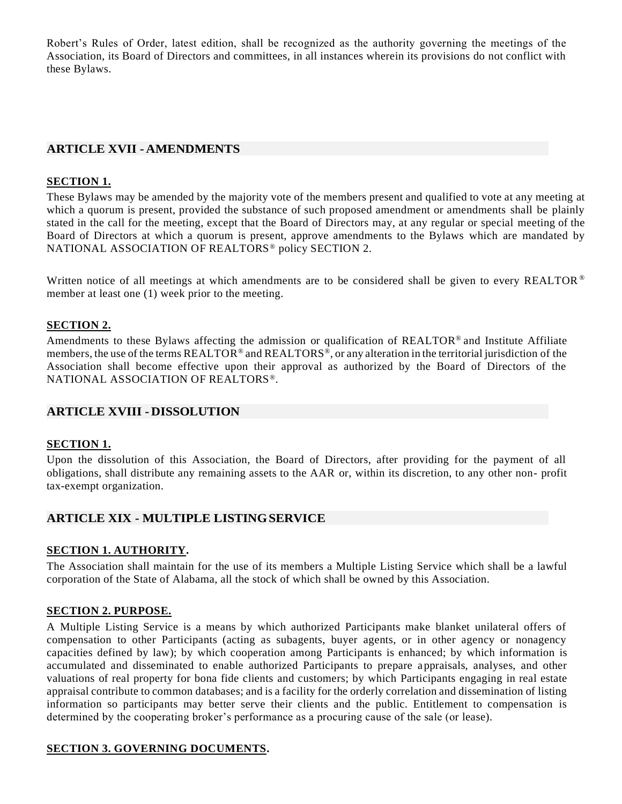Robert's Rules of Order, latest edition, shall be recognized as the authority governing the meetings of the Association, its Board of Directors and committees, in all instances wherein its provisions do not conflict with these Bylaws.

## <span id="page-19-0"></span>**ARTICLE XVII -AMENDMENTS**

#### **SECTION 1.**

These Bylaws may be amended by the majority vote of the members present and qualified to vote at any meeting at which a quorum is present, provided the substance of such proposed amendment or amendments shall be plainly stated in the call for the meeting, except that the Board of Directors may, at any regular or special meeting of the Board of Directors at which a quorum is present, approve amendments to the Bylaws which are mandated by NATIONAL ASSOCIATION OF REALTORS® policy SECTION 2.

Written notice of all meetings at which amendments are to be considered shall be given to every REALTOR ® member at least one (1) week prior to the meeting.

#### **SECTION 2.**

Amendments to these Bylaws affecting the admission or qualification of REALTOR® and Institute Affiliate members, the use of the terms REALTOR® and REALTORS®, or any alteration in the territorial jurisdiction of the Association shall become effective upon their approval as authorized by the Board of Directors of the NATIONAL ASSOCIATION OF REALTORS®.

#### <span id="page-19-1"></span>**ARTICLE XVIII - DISSOLUTION**

#### **SECTION 1.**

Upon the dissolution of this Association, the Board of Directors, after providing for the payment of all obligations, shall distribute any remaining assets to the AAR or, within its discretion, to any other non- profit tax-exempt organization.

### <span id="page-19-2"></span>**ARTICLE XIX - MULTIPLE LISTINGSERVICE**

#### **SECTION 1. AUTHORITY.**

The Association shall maintain for the use of its members a Multiple Listing Service which shall be a lawful corporation of the State of Alabama, all the stock of which shall be owned by this Association.

#### **SECTION 2. PURPOSE.**

A Multiple Listing Service is a means by which authorized Participants make blanket unilateral offers of compensation to other Participants (acting as subagents, buyer agents, or in other agency or nonagency capacities defined by law); by which cooperation among Participants is enhanced; by which information is accumulated and disseminated to enable authorized Participants to prepare appraisals, analyses, and other valuations of real property for bona fide clients and customers; by which Participants engaging in real estate appraisal contribute to common databases; and is a facility for the orderly correlation and dissemination of listing information so participants may better serve their clients and the public. Entitlement to compensation is determined by the cooperating broker's performance as a procuring cause of the sale (or lease).

#### **SECTION 3. GOVERNING DOCUMENTS.**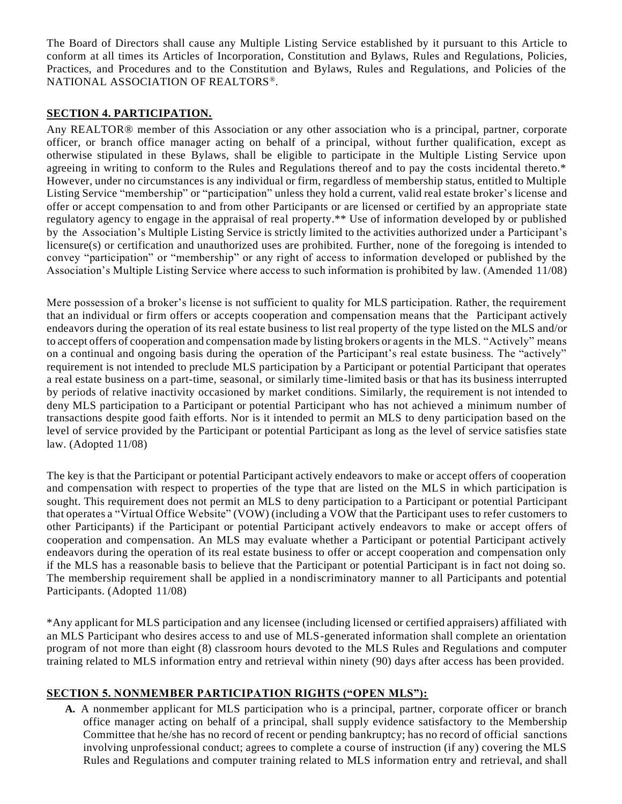The Board of Directors shall cause any Multiple Listing Service established by it pursuant to this Article to conform at all times its Articles of Incorporation, Constitution and Bylaws, Rules and Regulations, Policies, Practices, and Procedures and to the Constitution and Bylaws, Rules and Regulations, and Policies of the NATIONAL ASSOCIATION OF REALTORS®.

## **SECTION 4. PARTICIPATION.**

Any REALTOR® member of this Association or any other association who is a principal, partner, corporate officer, or branch office manager acting on behalf of a principal, without further qualification, except as otherwise stipulated in these Bylaws, shall be eligible to participate in the Multiple Listing Service upon agreeing in writing to conform to the Rules and Regulations thereof and to pay the costs incidental thereto.\* However, under no circumstances is any individual or firm, regardless of membership status, entitled to Multiple Listing Service "membership" or "participation" unless they hold a current, valid real estate broker's license and offer or accept compensation to and from other Participants or are licensed or certified by an appropriate state regulatory agency to engage in the appraisal of real property.\*\* Use of information developed by or published by the Association's Multiple Listing Service is strictly limited to the activities authorized under a Participant's licensure(s) or certification and unauthorized uses are prohibited. Further, none of the foregoing is intended to convey "participation" or "membership" or any right of access to information developed or published by the Association's Multiple Listing Service where access to such information is prohibited by law. (Amended 11/08)

Mere possession of a broker's license is not sufficient to quality for MLS participation. Rather, the requirement that an individual or firm offers or accepts cooperation and compensation means that the Participant actively endeavors during the operation of its real estate business to list real property of the type listed on the MLS and/or to accept offers of cooperation and compensation made by listing brokers or agents in the MLS. "Actively" means on a continual and ongoing basis during the operation of the Participant's real estate business. The "actively" requirement is not intended to preclude MLS participation by a Participant or potential Participant that operates a real estate business on a part-time, seasonal, or similarly time-limited basis or that has its business interrupted by periods of relative inactivity occasioned by market conditions. Similarly, the requirement is not intended to deny MLS participation to a Participant or potential Participant who has not achieved a minimum number of transactions despite good faith efforts. Nor is it intended to permit an MLS to deny participation based on the level of service provided by the Participant or potential Participant as long as the level of service satisfies state law. (Adopted 11/08)

The key is that the Participant or potential Participant actively endeavors to make or accept offers of cooperation and compensation with respect to properties of the type that are listed on the MLS in which participation is sought. This requirement does not permit an MLS to deny participation to a Participant or potential Participant that operates a "Virtual Office Website" (VOW) (including a VOW that the Participant uses to refer customers to other Participants) if the Participant or potential Participant actively endeavors to make or accept offers of cooperation and compensation. An MLS may evaluate whether a Participant or potential Participant actively endeavors during the operation of its real estate business to offer or accept cooperation and compensation only if the MLS has a reasonable basis to believe that the Participant or potential Participant is in fact not doing so. The membership requirement shall be applied in a nondiscriminatory manner to all Participants and potential Participants. (Adopted 11/08)

\*Any applicant for MLS participation and any licensee (including licensed or certified appraisers) affiliated with an MLS Participant who desires access to and use of MLS-generated information shall complete an orientation program of not more than eight (8) classroom hours devoted to the MLS Rules and Regulations and computer training related to MLS information entry and retrieval within ninety (90) days after access has been provided.

### **SECTION 5. NONMEMBER PARTICIPATION RIGHTS ("OPEN MLS"):**

**A.** A nonmember applicant for MLS participation who is a principal, partner, corporate officer or branch office manager acting on behalf of a principal, shall supply evidence satisfactory to the Membership Committee that he/she has no record of recent or pending bankruptcy; has no record of official sanctions involving unprofessional conduct; agrees to complete a course of instruction (if any) covering the MLS Rules and Regulations and computer training related to MLS information entry and retrieval, and shall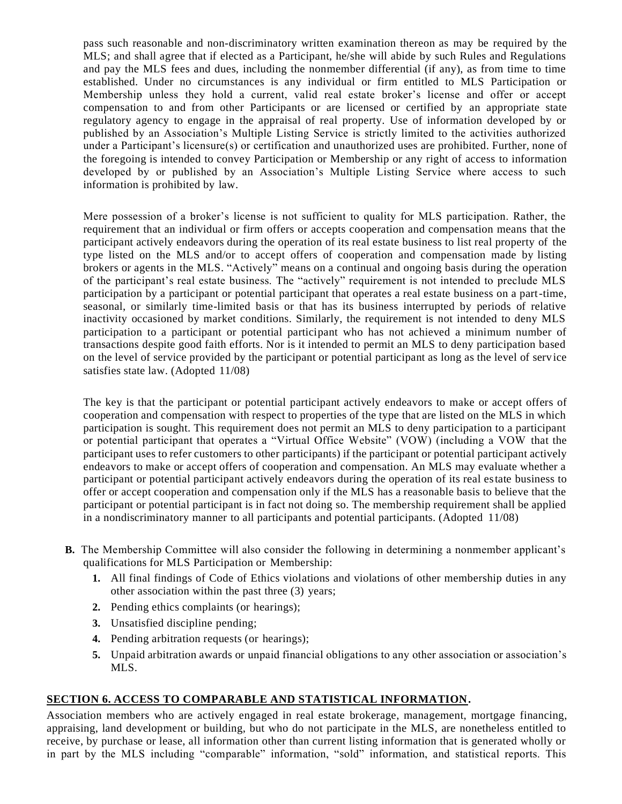pass such reasonable and non-discriminatory written examination thereon as may be required by the MLS; and shall agree that if elected as a Participant, he/she will abide by such Rules and Regulations and pay the MLS fees and dues, including the nonmember differential (if any), as from time to time established. Under no circumstances is any individual or firm entitled to MLS Participation or Membership unless they hold a current, valid real estate broker's license and offer or accept compensation to and from other Participants or are licensed or certified by an appropriate state regulatory agency to engage in the appraisal of real property. Use of information developed by or published by an Association's Multiple Listing Service is strictly limited to the activities authorized under a Participant's licensure(s) or certification and unauthorized uses are prohibited. Further, none of the foregoing is intended to convey Participation or Membership or any right of access to information developed by or published by an Association's Multiple Listing Service where access to such information is prohibited by law.

Mere possession of a broker's license is not sufficient to quality for MLS participation. Rather, the requirement that an individual or firm offers or accepts cooperation and compensation means that the participant actively endeavors during the operation of its real estate business to list real property of the type listed on the MLS and/or to accept offers of cooperation and compensation made by listing brokers or agents in the MLS. "Actively" means on a continual and ongoing basis during the operation of the participant's real estate business. The "actively" requirement is not intended to preclude MLS participation by a participant or potential participant that operates a real estate business on a part-time, seasonal, or similarly time-limited basis or that has its business interrupted by periods of relative inactivity occasioned by market conditions. Similarly, the requirement is not intended to deny MLS participation to a participant or potential participant who has not achieved a minimum number of transactions despite good faith efforts. Nor is it intended to permit an MLS to deny participation based on the level of service provided by the participant or potential participant as long as the level of service satisfies state law. (Adopted 11/08)

The key is that the participant or potential participant actively endeavors to make or accept offers of cooperation and compensation with respect to properties of the type that are listed on the MLS in which participation is sought. This requirement does not permit an MLS to deny participation to a participant or potential participant that operates a "Virtual Office Website" (VOW) (including a VOW that the participant uses to refer customers to other participants) if the participant or potential participant actively endeavors to make or accept offers of cooperation and compensation. An MLS may evaluate whether a participant or potential participant actively endeavors during the operation of its real estate business to offer or accept cooperation and compensation only if the MLS has a reasonable basis to believe that the participant or potential participant is in fact not doing so. The membership requirement shall be applied in a nondiscriminatory manner to all participants and potential participants. (Adopted 11/08)

- **B.** The Membership Committee will also consider the following in determining a nonmember applicant's qualifications for MLS Participation or Membership:
	- **1.** All final findings of Code of Ethics violations and violations of other membership duties in any other association within the past three (3) years;
	- **2.** Pending ethics complaints (or hearings);
	- **3.** Unsatisfied discipline pending;
	- **4.** Pending arbitration requests (or hearings);
	- **5.** Unpaid arbitration awards or unpaid financial obligations to any other association or association's MLS.

## **SECTION 6. ACCESS TO COMPARABLE AND STATISTICAL INFORMATION.**

Association members who are actively engaged in real estate brokerage, management, mortgage financing, appraising, land development or building, but who do not participate in the MLS, are nonetheless entitled to receive, by purchase or lease, all information other than current listing information that is generated wholly or in part by the MLS including "comparable" information, "sold" information, and statistical reports. This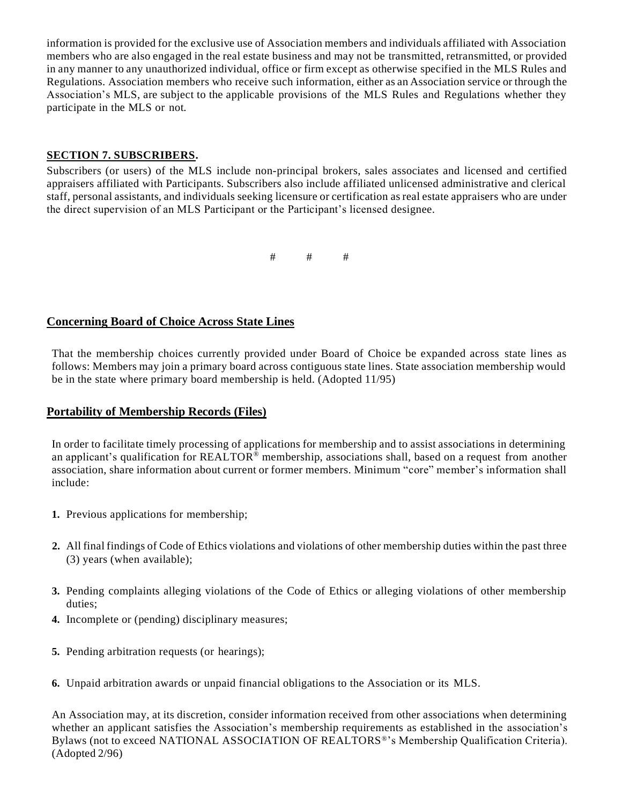information is provided for the exclusive use of Association members and individuals affiliated with Association members who are also engaged in the real estate business and may not be transmitted, retransmitted, or provided in any manner to any unauthorized individual, office or firm except as otherwise specified in the MLS Rules and Regulations. Association members who receive such information, either as an Association service or through the Association's MLS, are subject to the applicable provisions of the MLS Rules and Regulations whether they participate in the MLS or not.

### **SECTION 7. SUBSCRIBERS.**

Subscribers (or users) of the MLS include non-principal brokers, sales associates and licensed and certified appraisers affiliated with Participants. Subscribers also include affiliated unlicensed administrative and clerical staff, personal assistants, and individuals seeking licensure or certification asreal estate appraisers who are under the direct supervision of an MLS Participant or the Participant's licensed designee.

# # #

## <span id="page-22-0"></span>**Concerning Board of Choice Across State Lines**

That the membership choices currently provided under Board of Choice be expanded across state lines as follows: Members may join a primary board across contiguous state lines. State association membership would be in the state where primary board membership is held. (Adopted 11/95)

#### <span id="page-22-1"></span>**Portability of Membership Records (Files)**

In order to facilitate timely processing of applications for membership and to assist associations in determining an applicant's qualification for REALTOR® membership, associations shall, based on a request from another association, share information about current or former members. Minimum "core" member's information shall include:

- **1.** Previous applications for membership;
- **2.** All final findings of Code of Ethics violations and violations of other membership duties within the past three (3) years (when available);
- **3.** Pending complaints alleging violations of the Code of Ethics or alleging violations of other membership duties;
- **4.** Incomplete or (pending) disciplinary measures;
- **5.** Pending arbitration requests (or hearings);
- **6.** Unpaid arbitration awards or unpaid financial obligations to the Association or its MLS.

An Association may, at its discretion, consider information received from other associations when determining whether an applicant satisfies the Association's membership requirements as established in the association's Bylaws (not to exceed NATIONAL ASSOCIATION OF REALTORS®'s Membership Qualification Criteria). (Adopted 2/96)